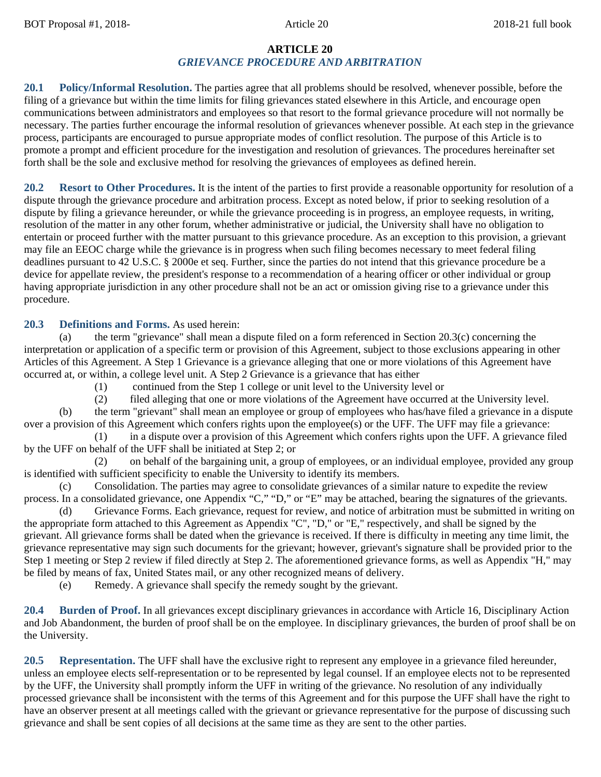### **ARTICLE 20** *GRIEVANCE PROCEDURE AND ARBITRATION*

**20.1 Policy/Informal Resolution.** The parties agree that all problems should be resolved, whenever possible, before the filing of a grievance but within the time limits for filing grievances stated elsewhere in this Article, and encourage open communications between administrators and employees so that resort to the formal grievance procedure will not normally be necessary. The parties further encourage the informal resolution of grievances whenever possible. At each step in the grievance process, participants are encouraged to pursue appropriate modes of conflict resolution. The purpose of this Article is to promote a prompt and efficient procedure for the investigation and resolution of grievances. The procedures hereinafter set forth shall be the sole and exclusive method for resolving the grievances of employees as defined herein.

**20.2 Resort to Other Procedures.** It is the intent of the parties to first provide a reasonable opportunity for resolution of a dispute through the grievance procedure and arbitration process. Except as noted below, if prior to seeking resolution of a dispute by filing a grievance hereunder, or while the grievance proceeding is in progress, an employee requests, in writing, resolution of the matter in any other forum, whether administrative or judicial, the University shall have no obligation to entertain or proceed further with the matter pursuant to this grievance procedure. As an exception to this provision, a grievant may file an EEOC charge while the grievance is in progress when such filing becomes necessary to meet federal filing deadlines pursuant to 42 U.S.C. § 2000e et seq. Further, since the parties do not intend that this grievance procedure be a device for appellate review, the president's response to a recommendation of a hearing officer or other individual or group having appropriate jurisdiction in any other procedure shall not be an act or omission giving rise to a grievance under this procedure.

# **20.3 Definitions and Forms.** As used herein:

(a) the term "grievance" shall mean a dispute filed on a form referenced in Section 20.3(c) concerning the interpretation or application of a specific term or provision of this Agreement, subject to those exclusions appearing in other Articles of this Agreement. A Step 1 Grievance is a grievance alleging that one or more violations of this Agreement have occurred at, or within, a college level unit. A Step 2 Grievance is a grievance that has either

(1) continued from the Step 1 college or unit level to the University level or

(2) filed alleging that one or more violations of the Agreement have occurred at the University level.

(b) the term "grievant" shall mean an employee or group of employees who has/have filed a grievance in a dispute over a provision of this Agreement which confers rights upon the employee(s) or the UFF. The UFF may file a grievance:

(1) in a dispute over a provision of this Agreement which confers rights upon the UFF. A grievance filed by the UFF on behalf of the UFF shall be initiated at Step 2; or

(2) on behalf of the bargaining unit, a group of employees, or an individual employee, provided any group is identified with sufficient specificity to enable the University to identify its members.

(c) Consolidation. The parties may agree to consolidate grievances of a similar nature to expedite the review process. In a consolidated grievance, one Appendix "C," "D," or "E" may be attached, bearing the signatures of the grievants.

(d) Grievance Forms. Each grievance, request for review, and notice of arbitration must be submitted in writing on the appropriate form attached to this Agreement as Appendix "C", "D," or "E," respectively, and shall be signed by the grievant. All grievance forms shall be dated when the grievance is received. If there is difficulty in meeting any time limit, the grievance representative may sign such documents for the grievant; however, grievant's signature shall be provided prior to the Step 1 meeting or Step 2 review if filed directly at Step 2. The aforementioned grievance forms, as well as Appendix "H," may be filed by means of fax, United States mail, or any other recognized means of delivery.

(e) Remedy. A grievance shall specify the remedy sought by the grievant.

**20.4 Burden of Proof.** In all grievances except disciplinary grievances in accordance with Article 16, Disciplinary Action and Job Abandonment, the burden of proof shall be on the employee. In disciplinary grievances, the burden of proof shall be on the University.

**20.5 Representation.** The UFF shall have the exclusive right to represent any employee in a grievance filed hereunder, unless an employee elects self-representation or to be represented by legal counsel. If an employee elects not to be represented by the UFF, the University shall promptly inform the UFF in writing of the grievance. No resolution of any individually processed grievance shall be inconsistent with the terms of this Agreement and for this purpose the UFF shall have the right to have an observer present at all meetings called with the grievant or grievance representative for the purpose of discussing such grievance and shall be sent copies of all decisions at the same time as they are sent to the other parties.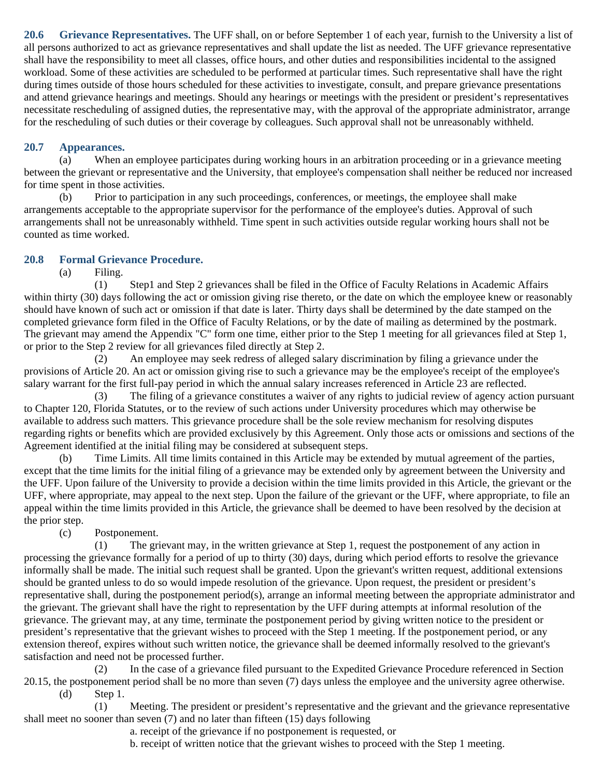**20.6 Grievance Representatives.** The UFF shall, on or before September 1 of each year, furnish to the University a list of all persons authorized to act as grievance representatives and shall update the list as needed. The UFF grievance representative shall have the responsibility to meet all classes, office hours, and other duties and responsibilities incidental to the assigned workload. Some of these activities are scheduled to be performed at particular times. Such representative shall have the right during times outside of those hours scheduled for these activities to investigate, consult, and prepare grievance presentations and attend grievance hearings and meetings. Should any hearings or meetings with the president or president's representatives necessitate rescheduling of assigned duties, the representative may, with the approval of the appropriate administrator, arrange for the rescheduling of such duties or their coverage by colleagues. Such approval shall not be unreasonably withheld.

## **20.7 Appearances.**

(a) When an employee participates during working hours in an arbitration proceeding or in a grievance meeting between the grievant or representative and the University, that employee's compensation shall neither be reduced nor increased for time spent in those activities.

(b) Prior to participation in any such proceedings, conferences, or meetings, the employee shall make arrangements acceptable to the appropriate supervisor for the performance of the employee's duties. Approval of such arrangements shall not be unreasonably withheld. Time spent in such activities outside regular working hours shall not be counted as time worked.

# **20.8 Formal Grievance Procedure.**

(a) Filing.

(1) Step1 and Step 2 grievances shall be filed in the Office of Faculty Relations in Academic Affairs within thirty (30) days following the act or omission giving rise thereto, or the date on which the employee knew or reasonably should have known of such act or omission if that date is later. Thirty days shall be determined by the date stamped on the completed grievance form filed in the Office of Faculty Relations, or by the date of mailing as determined by the postmark. The grievant may amend the Appendix "C" form one time, either prior to the Step 1 meeting for all grievances filed at Step 1, or prior to the Step 2 review for all grievances filed directly at Step 2.

(2) An employee may seek redress of alleged salary discrimination by filing a grievance under the provisions of Article 20. An act or omission giving rise to such a grievance may be the employee's receipt of the employee's salary warrant for the first full-pay period in which the annual salary increases referenced in Article 23 are reflected.

(3) The filing of a grievance constitutes a waiver of any rights to judicial review of agency action pursuant to Chapter 120, Florida Statutes, or to the review of such actions under University procedures which may otherwise be available to address such matters. This grievance procedure shall be the sole review mechanism for resolving disputes regarding rights or benefits which are provided exclusively by this Agreement. Only those acts or omissions and sections of the Agreement identified at the initial filing may be considered at subsequent steps.

(b) Time Limits. All time limits contained in this Article may be extended by mutual agreement of the parties, except that the time limits for the initial filing of a grievance may be extended only by agreement between the University and the UFF. Upon failure of the University to provide a decision within the time limits provided in this Article, the grievant or the UFF, where appropriate, may appeal to the next step. Upon the failure of the grievant or the UFF, where appropriate, to file an appeal within the time limits provided in this Article, the grievance shall be deemed to have been resolved by the decision at the prior step.

(c) Postponement.

(1) The grievant may, in the written grievance at Step 1, request the postponement of any action in processing the grievance formally for a period of up to thirty (30) days, during which period efforts to resolve the grievance informally shall be made. The initial such request shall be granted. Upon the grievant's written request, additional extensions should be granted unless to do so would impede resolution of the grievance. Upon request, the president or president's representative shall, during the postponement period(s), arrange an informal meeting between the appropriate administrator and the grievant. The grievant shall have the right to representation by the UFF during attempts at informal resolution of the grievance. The grievant may, at any time, terminate the postponement period by giving written notice to the president or president's representative that the grievant wishes to proceed with the Step 1 meeting. If the postponement period, or any extension thereof, expires without such written notice, the grievance shall be deemed informally resolved to the grievant's satisfaction and need not be processed further.

(2) In the case of a grievance filed pursuant to the Expedited Grievance Procedure referenced in Section 20.15, the postponement period shall be no more than seven (7) days unless the employee and the university agree otherwise. (d) Step 1.

(1) Meeting. The president or president's representative and the grievant and the grievance representative shall meet no sooner than seven (7) and no later than fifteen (15) days following

a. receipt of the grievance if no postponement is requested, or

b. receipt of written notice that the grievant wishes to proceed with the Step 1 meeting.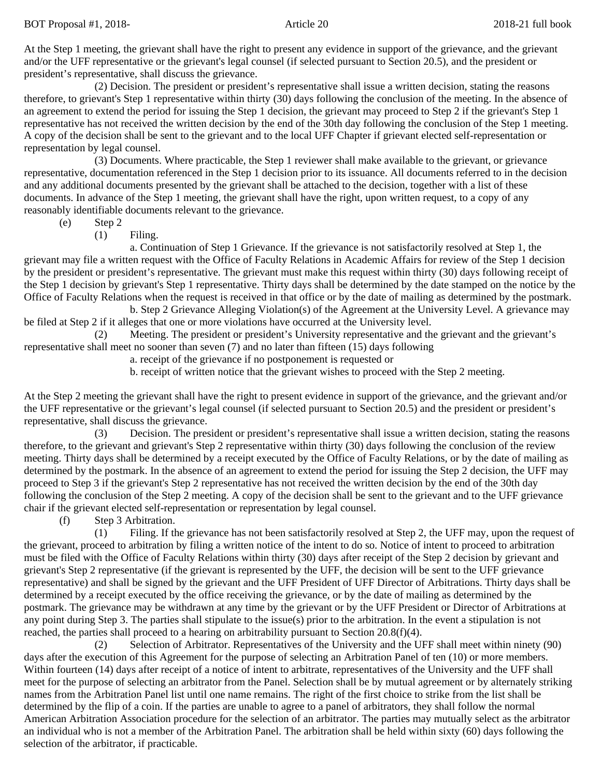At the Step 1 meeting, the grievant shall have the right to present any evidence in support of the grievance, and the grievant and/or the UFF representative or the grievant's legal counsel (if selected pursuant to Section 20.5), and the president or president's representative, shall discuss the grievance.

(2) Decision. The president or president's representative shall issue a written decision, stating the reasons therefore, to grievant's Step 1 representative within thirty (30) days following the conclusion of the meeting. In the absence of an agreement to extend the period for issuing the Step 1 decision, the grievant may proceed to Step 2 if the grievant's Step 1 representative has not received the written decision by the end of the 30th day following the conclusion of the Step 1 meeting. A copy of the decision shall be sent to the grievant and to the local UFF Chapter if grievant elected self-representation or representation by legal counsel.

(3) Documents. Where practicable, the Step 1 reviewer shall make available to the grievant, or grievance representative, documentation referenced in the Step 1 decision prior to its issuance. All documents referred to in the decision and any additional documents presented by the grievant shall be attached to the decision, together with a list of these documents. In advance of the Step 1 meeting, the grievant shall have the right, upon written request, to a copy of any reasonably identifiable documents relevant to the grievance.

(e) Step 2

(1) Filing.

a. Continuation of Step 1 Grievance. If the grievance is not satisfactorily resolved at Step 1, the grievant may file a written request with the Office of Faculty Relations in Academic Affairs for review of the Step 1 decision by the president or president's representative. The grievant must make this request within thirty (30) days following receipt of the Step 1 decision by grievant's Step 1 representative. Thirty days shall be determined by the date stamped on the notice by the Office of Faculty Relations when the request is received in that office or by the date of mailing as determined by the postmark.

b. Step 2 Grievance Alleging Violation(s) of the Agreement at the University Level. A grievance may be filed at Step 2 if it alleges that one or more violations have occurred at the University level.

(2) Meeting. The president or president's University representative and the grievant and the grievant's representative shall meet no sooner than seven (7) and no later than fifteen (15) days following

a. receipt of the grievance if no postponement is requested or

b. receipt of written notice that the grievant wishes to proceed with the Step 2 meeting.

At the Step 2 meeting the grievant shall have the right to present evidence in support of the grievance, and the grievant and/or the UFF representative or the grievant's legal counsel (if selected pursuant to Section 20.5) and the president or president's representative, shall discuss the grievance.

(3) Decision. The president or president's representative shall issue a written decision, stating the reasons therefore, to the grievant and grievant's Step 2 representative within thirty (30) days following the conclusion of the review meeting. Thirty days shall be determined by a receipt executed by the Office of Faculty Relations, or by the date of mailing as determined by the postmark. In the absence of an agreement to extend the period for issuing the Step 2 decision, the UFF may proceed to Step 3 if the grievant's Step 2 representative has not received the written decision by the end of the 30th day following the conclusion of the Step 2 meeting. A copy of the decision shall be sent to the grievant and to the UFF grievance chair if the grievant elected self-representation or representation by legal counsel.

(f) Step 3 Arbitration.

(1) Filing. If the grievance has not been satisfactorily resolved at Step 2, the UFF may, upon the request of the grievant, proceed to arbitration by filing a written notice of the intent to do so. Notice of intent to proceed to arbitration must be filed with the Office of Faculty Relations within thirty (30) days after receipt of the Step 2 decision by grievant and grievant's Step 2 representative (if the grievant is represented by the UFF, the decision will be sent to the UFF grievance representative) and shall be signed by the grievant and the UFF President of UFF Director of Arbitrations. Thirty days shall be determined by a receipt executed by the office receiving the grievance, or by the date of mailing as determined by the postmark. The grievance may be withdrawn at any time by the grievant or by the UFF President or Director of Arbitrations at any point during Step 3. The parties shall stipulate to the issue(s) prior to the arbitration. In the event a stipulation is not reached, the parties shall proceed to a hearing on arbitrability pursuant to Section 20.8(f)(4).

(2) Selection of Arbitrator. Representatives of the University and the UFF shall meet within ninety (90) days after the execution of this Agreement for the purpose of selecting an Arbitration Panel of ten (10) or more members. Within fourteen (14) days after receipt of a notice of intent to arbitrate, representatives of the University and the UFF shall meet for the purpose of selecting an arbitrator from the Panel. Selection shall be by mutual agreement or by alternately striking names from the Arbitration Panel list until one name remains. The right of the first choice to strike from the list shall be determined by the flip of a coin. If the parties are unable to agree to a panel of arbitrators, they shall follow the normal American Arbitration Association procedure for the selection of an arbitrator. The parties may mutually select as the arbitrator an individual who is not a member of the Arbitration Panel. The arbitration shall be held within sixty (60) days following the selection of the arbitrator, if practicable.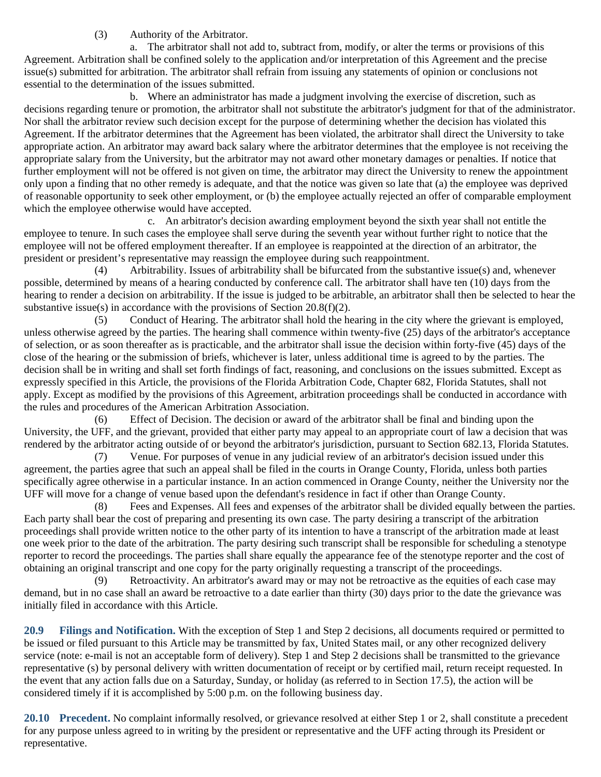# (3) Authority of the Arbitrator.

a. The arbitrator shall not add to, subtract from, modify, or alter the terms or provisions of this Agreement. Arbitration shall be confined solely to the application and/or interpretation of this Agreement and the precise issue(s) submitted for arbitration. The arbitrator shall refrain from issuing any statements of opinion or conclusions not essential to the determination of the issues submitted.

b. Where an administrator has made a judgment involving the exercise of discretion, such as decisions regarding tenure or promotion, the arbitrator shall not substitute the arbitrator's judgment for that of the administrator. Nor shall the arbitrator review such decision except for the purpose of determining whether the decision has violated this Agreement. If the arbitrator determines that the Agreement has been violated, the arbitrator shall direct the University to take appropriate action. An arbitrator may award back salary where the arbitrator determines that the employee is not receiving the appropriate salary from the University, but the arbitrator may not award other monetary damages or penalties. If notice that further employment will not be offered is not given on time, the arbitrator may direct the University to renew the appointment only upon a finding that no other remedy is adequate, and that the notice was given so late that (a) the employee was deprived of reasonable opportunity to seek other employment, or (b) the employee actually rejected an offer of comparable employment which the employee otherwise would have accepted.

c. An arbitrator's decision awarding employment beyond the sixth year shall not entitle the employee to tenure. In such cases the employee shall serve during the seventh year without further right to notice that the employee will not be offered employment thereafter. If an employee is reappointed at the direction of an arbitrator, the president or president's representative may reassign the employee during such reappointment.

(4) Arbitrability. Issues of arbitrability shall be bifurcated from the substantive issue(s) and, whenever possible, determined by means of a hearing conducted by conference call. The arbitrator shall have ten (10) days from the hearing to render a decision on arbitrability. If the issue is judged to be arbitrable, an arbitrator shall then be selected to hear the substantive issue(s) in accordance with the provisions of Section 20.8(f)(2).

(5) Conduct of Hearing. The arbitrator shall hold the hearing in the city where the grievant is employed, unless otherwise agreed by the parties. The hearing shall commence within twenty-five (25) days of the arbitrator's acceptance of selection, or as soon thereafter as is practicable, and the arbitrator shall issue the decision within forty-five (45) days of the close of the hearing or the submission of briefs, whichever is later, unless additional time is agreed to by the parties. The decision shall be in writing and shall set forth findings of fact, reasoning, and conclusions on the issues submitted. Except as expressly specified in this Article, the provisions of the Florida Arbitration Code, Chapter 682, Florida Statutes, shall not apply. Except as modified by the provisions of this Agreement, arbitration proceedings shall be conducted in accordance with the rules and procedures of the American Arbitration Association.

(6) Effect of Decision. The decision or award of the arbitrator shall be final and binding upon the University, the UFF, and the grievant, provided that either party may appeal to an appropriate court of law a decision that was rendered by the arbitrator acting outside of or beyond the arbitrator's jurisdiction, pursuant to Section 682.13, Florida Statutes.

(7) Venue. For purposes of venue in any judicial review of an arbitrator's decision issued under this agreement, the parties agree that such an appeal shall be filed in the courts in Orange County, Florida, unless both parties specifically agree otherwise in a particular instance. In an action commenced in Orange County, neither the University nor the UFF will move for a change of venue based upon the defendant's residence in fact if other than Orange County.

(8) Fees and Expenses. All fees and expenses of the arbitrator shall be divided equally between the parties. Each party shall bear the cost of preparing and presenting its own case. The party desiring a transcript of the arbitration proceedings shall provide written notice to the other party of its intention to have a transcript of the arbitration made at least one week prior to the date of the arbitration. The party desiring such transcript shall be responsible for scheduling a stenotype reporter to record the proceedings. The parties shall share equally the appearance fee of the stenotype reporter and the cost of obtaining an original transcript and one copy for the party originally requesting a transcript of the proceedings.

(9) Retroactivity. An arbitrator's award may or may not be retroactive as the equities of each case may demand, but in no case shall an award be retroactive to a date earlier than thirty (30) days prior to the date the grievance was initially filed in accordance with this Article.

**20.9 Filings and Notification.** With the exception of Step 1 and Step 2 decisions, all documents required or permitted to be issued or filed pursuant to this Article may be transmitted by fax, United States mail, or any other recognized delivery service (note: e-mail is not an acceptable form of delivery). Step 1 and Step 2 decisions shall be transmitted to the grievance representative (s) by personal delivery with written documentation of receipt or by certified mail, return receipt requested. In the event that any action falls due on a Saturday, Sunday, or holiday (as referred to in Section 17.5), the action will be considered timely if it is accomplished by 5:00 p.m. on the following business day.

**20.10 Precedent.** No complaint informally resolved, or grievance resolved at either Step 1 or 2, shall constitute a precedent for any purpose unless agreed to in writing by the president or representative and the UFF acting through its President or representative.